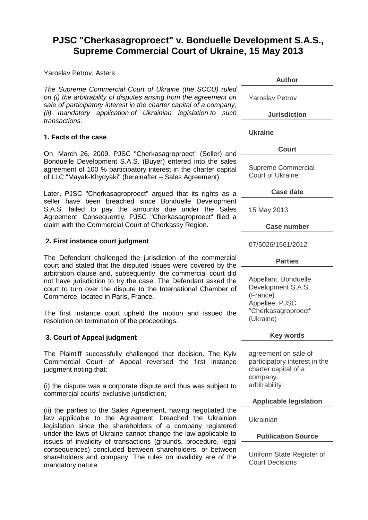# **PJSC "Cherkasagroproect" v. Bonduelle Development S.A.S., Supreme Commercial Court of Ukraine, 15 May 2013**

Yaroslav Petrov, Asters

*The Supreme Commercial Court of Ukraine (the SCCU) ruled on (i) the arbitrability of disputes arising from the agreement on sale of participatory interest in the charter capital of a company; (ii) mandatory application of Ukrainian legislation to such transactions.*

#### **1. Facts of the case**

On March 26, 2009, PJSC "Cherkasagroproect" (Seller) and Bonduelle Development S.A.S. (Buyer) entered into the sales agreement of 100 % participatory interest in the charter capital of LLC "Mayak-Khydyaki" (hereinafter – Sales Agreement).

Later, PJSC "Cherkasagroproect" argued that its rights as a seller have been breached since Bonduelle Development S.A.S. failed to pay the amounts due under the Sales Agreement. Consequently, PJSC "Cherkasagroproect" filed a claim with the Commercial Court of Cherkassy Region.

### **2. First instance court judgment**

The Defendant challenged the jurisdiction of the commercial court and stated that the disputed issues were covered by the arbitration clause and, subsequently, the commercial court did not have jurisdiction to try the case. The Defendant asked the court to turn over the dispute to the International Chamber of Commerce, located in Paris, France.

The first instance court upheld the motion and issued the resolution on termination of the proceedings.

## **3. Court of Appeal judgment**

The Plaintiff successfully challenged that decision. The Kyiv Commercial Court of Appeal reversed the first instance judgment noting that:

(i) the dispute was a corporate dispute and thus was subject to commercial courts' exclusive jurisdiction;

(ii) the parties to the Sales Agreement, having negotiated the law applicable to the Agreement, breached the Ukrainian legislation since the shareholders of a company registered under the laws of Ukraine cannot change the law applicable to issues of invalidity of transactions (grounds, procedure, legal consequences) concluded between shareholders, or between shareholders and company. The rules on invalidity are of the mandatory nature.

**Author** Yaroslav Petrov **Jurisdiction [Ukraine](http://www.kluwerarbitration.com/CommonUI/organizations.aspx?jurisdiction=Ukraine) Court** Supreme Commercial Court of Ukraine **Case date** 15 May 2013 **Case number** 07/5026/1561/2012 **Parties** Appellant, Bonduelle Development S.A.S. (France) Appellee, PJSC "Cherkasagroproect" (Ukraine) **Key words** agreement on sale of participatory interest in the charter capital of a

**Applicable legislation**

Ukrainian

company. arbitrability

## **Publication Source**

Uniform State Register of Court Decisions